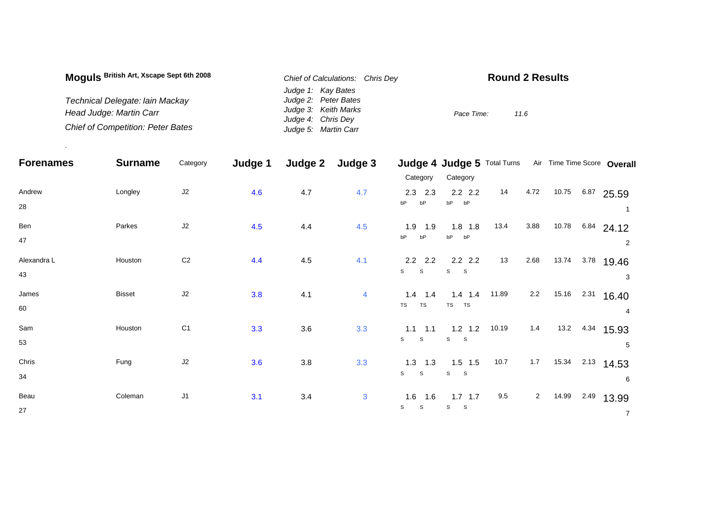| Moguls British Art, Xscape Sept 6th 2008 | Chief of Calculations: Chris Dev | <b>Round 2 Results</b> |  |  |  |  |  |
|------------------------------------------|----------------------------------|------------------------|--|--|--|--|--|
|                                          | Judge 1: Kay Bates               |                        |  |  |  |  |  |
| Technical Delegate: lain Mackay          | Judge 2: Peter Bates             |                        |  |  |  |  |  |
| Head Judge: Martin Carr                  | Judge 3: Keith Marks             | Pace Time:<br>11.6     |  |  |  |  |  |
|                                          | Judge 4: Chris Dey               |                        |  |  |  |  |  |
| <b>Chief of Competition: Peter Bates</b> | Judge 5: Martin Carr             |                        |  |  |  |  |  |

.

| <b>Forenames</b>  | <b>Surname</b> | Category       | Judge 1 | Judge 2 | Judge 3 |                                           | Judge 4 Judge 5 Total Turns             |       |                |       |      | Air Time Time Score Overall |
|-------------------|----------------|----------------|---------|---------|---------|-------------------------------------------|-----------------------------------------|-------|----------------|-------|------|-----------------------------|
|                   |                |                |         |         |         | Category                                  | Category                                |       |                |       |      |                             |
| Andrew<br>28      | Longley        | J2             | 4.6     | 4.7     | 4.7     | $2.3$ 2.3<br>bP<br>bP                     | $2.2$ $2.2$<br>bP<br>bP                 | 14    | 4.72           | 10.75 | 6.87 | 25.59                       |
| Ben<br>47         | Parkes         | J2             | 4.5     | 4.4     | 4.5     | $1.9$ $1.9$<br>bP<br>bP                   | $1.8$ 1.8<br>bP<br>bP                   | 13.4  | 3.88           | 10.78 |      | $6.84$ 24.12<br>2           |
| Alexandra L<br>43 | Houston        | C <sub>2</sub> | 4.4     | 4.5     | 4.1     | $2.2$ 2.2<br>$\mathsf{s}$<br>$\mathsf{s}$ | $2.2$ 2.2<br>S<br>$\sim$ S              | 13    | 2.68           | 13.74 | 3.78 | 19.46<br>3                  |
| James<br>60       | <b>Bisset</b>  | J2             | 3.8     | 4.1     | 4       | $1.4$ 1.4<br>TS<br><b>TS</b>              | $1.4$ 1.4<br>TS TS                      | 11.89 | 2.2            | 15.16 | 2.31 | 16.40<br>4                  |
| Sam<br>53         | Houston        | C <sub>1</sub> | 3.3     | 3.6     | 3.3     | $1.1 \quad 1.1$<br>S<br><sub>S</sub>      | $1.2$ 1.2<br>S S                        | 10.19 | 1.4            | 13.2  |      | 4.34 15.93<br>5             |
| Chris<br>34       | Fung           | J2             | 3.6     | $3.8\,$ | 3.3     | $1.3$ 1.3<br>S<br>$\mathsf{s}$            | $1.5$ 1.5<br>$\mathbb S$<br>$\mathbf S$ | 10.7  | $1.7\,$        | 15.34 | 2.13 | 14.53<br>6                  |
| Beau<br>27        | Coleman        | J1             | 3.1     | 3.4     | 3       | 1.6<br>1.6<br>$\mathbb S$<br>S            | $1.7$ 1.7<br>S<br>$\mathbf{s}$          | 9.5   | $\overline{a}$ | 14.99 | 2.49 | 13.99<br>$\overline{7}$     |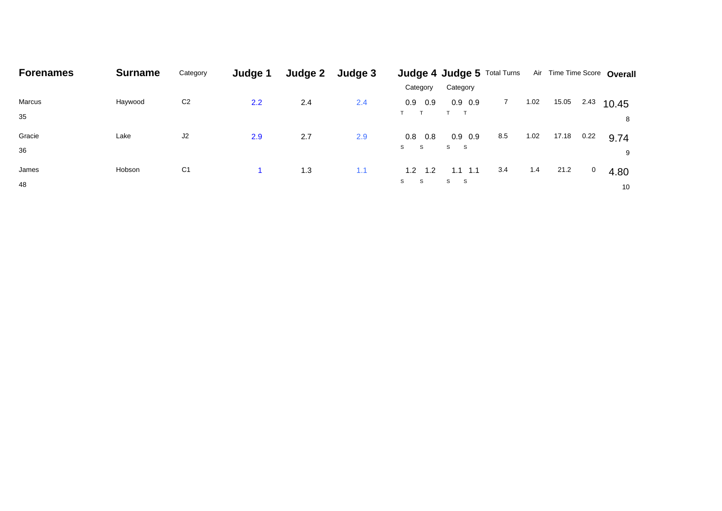| <b>Forenames</b> | <b>Surname</b> | Category       | Judge 1 | Judge 2 | Judge 3 |                    | Judge 4 Judge 5 Total Turns |     |      |       |      | Air Time Time Score Overall |
|------------------|----------------|----------------|---------|---------|---------|--------------------|-----------------------------|-----|------|-------|------|-----------------------------|
|                  |                |                |         |         |         | Category           | Category                    |     |      |       |      |                             |
| Marcus           | Haywood        | C <sub>2</sub> | 2.2     | 2.4     | 2.4     | 0.9<br>0.9         | $0.9\quad0.9$               |     | 1.02 | 15.05 | 2.43 | 10.45                       |
| 35               |                |                |         |         |         |                    | $T$ T                       |     |      |       |      | 8                           |
| Gracie           | Lake           | J2             | 2.9     | 2.7     | 2.9     | 0.8<br>0.8         | $0.9\quad0.9$               | 8.5 | 1.02 | 17.18 | 0.22 | 9.74                        |
| 36               |                |                |         |         |         | S.<br>$\mathbf{s}$ | S S                         |     |      |       |      | 9                           |
| James            | Hobson         | C <sub>1</sub> |         | 1.3     | 1.1     | 1.2<br>$-1.2$      | $1.1$ 1.1                   | 3.4 | 1.4  | 21.2  | 0    | 4.80                        |
| 48               |                |                |         |         |         | S.<br>$^{\circ}$ S | S S                         |     |      |       |      | 10                          |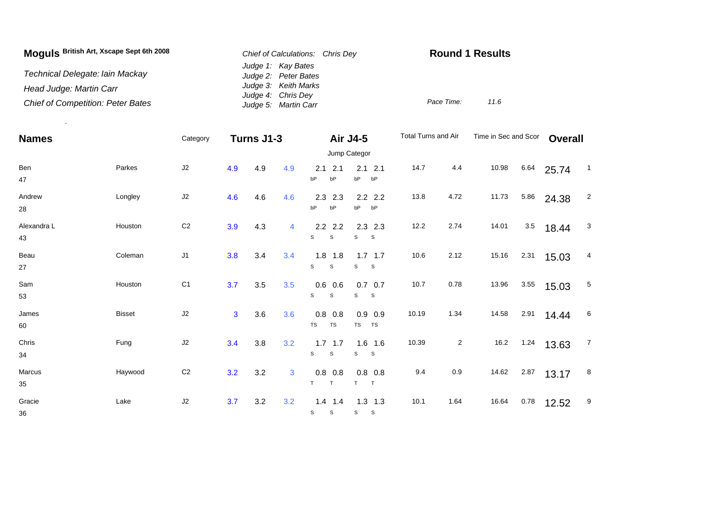| Moguls British Art, Xscape Sept 6th 2008 | Chief of Calculations: Chris Dev           | <b>Round 1 Results</b> |  |  |  |  |
|------------------------------------------|--------------------------------------------|------------------------|--|--|--|--|
| Technical Delegate: Iain Mackay          | Judge 1: Kay Bates<br>Judge 2: Peter Bates |                        |  |  |  |  |
| Head Judge: Martin Carr                  | Judge 3: Keith Marks<br>Judge 4: Chris Dey |                        |  |  |  |  |
| <b>Chief of Competition: Peter Bates</b> | Judge 5: Martin Carr                       | Pace Time:<br>11.6     |  |  |  |  |

| <b>Names</b>      |               | Category       |     | Turns J1-3 |     | <b>Air J4-5</b>                          |                                | Total Turns and Air |                | Time in Sec and Scor |      | <b>Overall</b> |                |
|-------------------|---------------|----------------|-----|------------|-----|------------------------------------------|--------------------------------|---------------------|----------------|----------------------|------|----------------|----------------|
|                   |               | Jump Categor   |     |            |     |                                          |                                |                     |                |                      |      |                |                |
| Ben<br>47         | Parkes        | J2             | 4.9 | 4.9        | 4.9 | 2.1<br>2.1<br>bP<br>bP                   | $2.1$ 2.1<br>bP<br>bP          | 14.7                | 4.4            | 10.98                | 6.64 | 25.74          | $\overline{1}$ |
| Andrew<br>28      | Longley       | J2             | 4.6 | 4.6        | 4.6 | 2.3<br>2.3<br>bP<br>bP                   | $2.2$ 2.2<br>bP<br>bP          | 13.8                | 4.72           | 11.73                | 5.86 | 24.38          | $\overline{2}$ |
| Alexandra L<br>43 | Houston       | C <sub>2</sub> | 3.9 | 4.3        | 4   | $2.2$ 2.2<br>S<br>S                      | $2.3$ 2.3<br>S<br>S            | 12.2                | 2.74           | 14.01                | 3.5  | 18.44          | $\mathbf{3}$   |
| Beau<br>27        | Coleman       | J1             | 3.8 | 3.4        | 3.4 | $1.8$ 1.8<br>$\mathsf{s}$<br>$\mathsf s$ | $1.7$ 1.7<br>s<br>S            | 10.6                | 2.12           | 15.16                | 2.31 | 15.03          | 4              |
| Sam<br>53         | Houston       | C <sub>1</sub> | 3.7 | 3.5        | 3.5 | $0.6$ 0.6<br>$\mathbb S$<br>S            | $0.7\ 0.7$<br>S<br>-S          | 10.7                | 0.78           | 13.96                | 3.55 | 15.03          | 5              |
| James<br>60       | <b>Bisset</b> | J2             | 3   | 3.6        | 3.6 | 0.8<br>0.8<br>TS<br>TS                   | $0.9$ 0.9<br>TS<br><b>TS</b>   | 10.19               | 1.34           | 14.58                | 2.91 | 14.44          | 6              |
| Chris<br>34       | Fung          | $\sf J2$       | 3.4 | 3.8        | 3.2 | $1.7$ 1.7<br>$\mathsf{s}$<br>$\mathsf S$ | $1.6$ 1.6<br>s<br>$\mathbf{s}$ | 10.39               | $\overline{a}$ | 16.2                 | 1.24 | 13.63          | $\overline{7}$ |
| Marcus<br>35      | Haywood       | C <sub>2</sub> | 3.2 | 3.2        | 3   | $0.8$ 0.8<br>T<br>T                      | $0.8\ 0.8$<br>T<br>T           | 9.4                 | 0.9            | 14.62                | 2.87 | 13.17          | 8              |
| Gracie<br>36      | Lake          | J2             | 3.7 | 3.2        | 3.2 | $1.4$ 1.4<br>$\mathbb S$<br>$\mathbb S$  | $1.3$ 1.3<br>S<br>$\mathbf{s}$ | 10.1                | 1.64           | 16.64                | 0.78 | 12.52          | 9              |